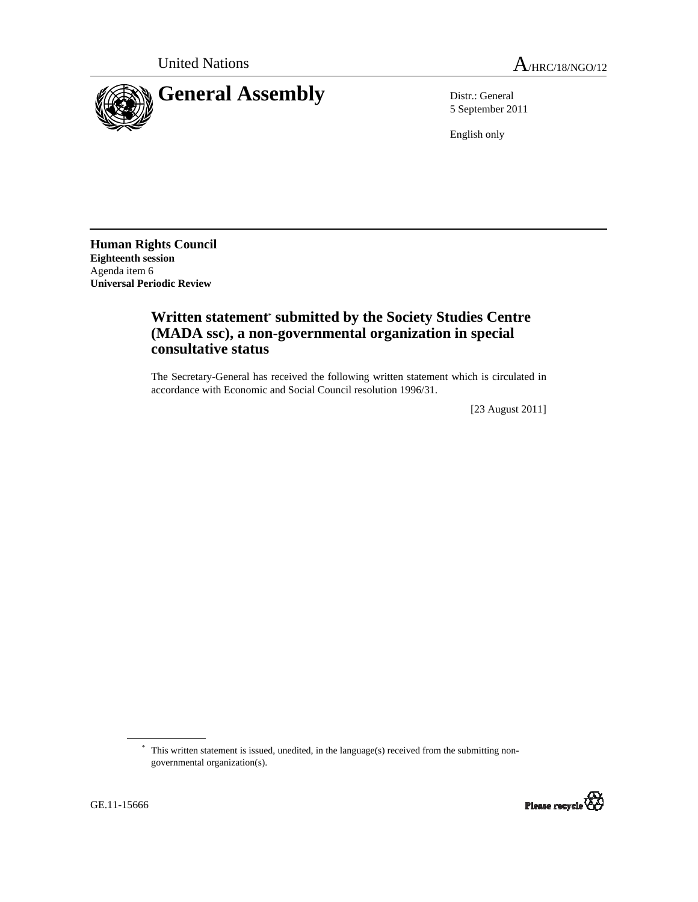

5 September 2011

English only

**Human Rights Council Eighteenth session**  Agenda item 6 **Universal Periodic Review** 

## **Written statement\* submitted by the Society Studies Centre (MADA ssc), a non-governmental organization in special consultative status**

The Secretary-General has received the following written statement which is circulated in accordance with Economic and Social Council resolution 1996/31.

[23 August 2011]

<sup>\*</sup> This written statement is issued, unedited, in the language(s) received from the submitting nongovernmental organization(s).